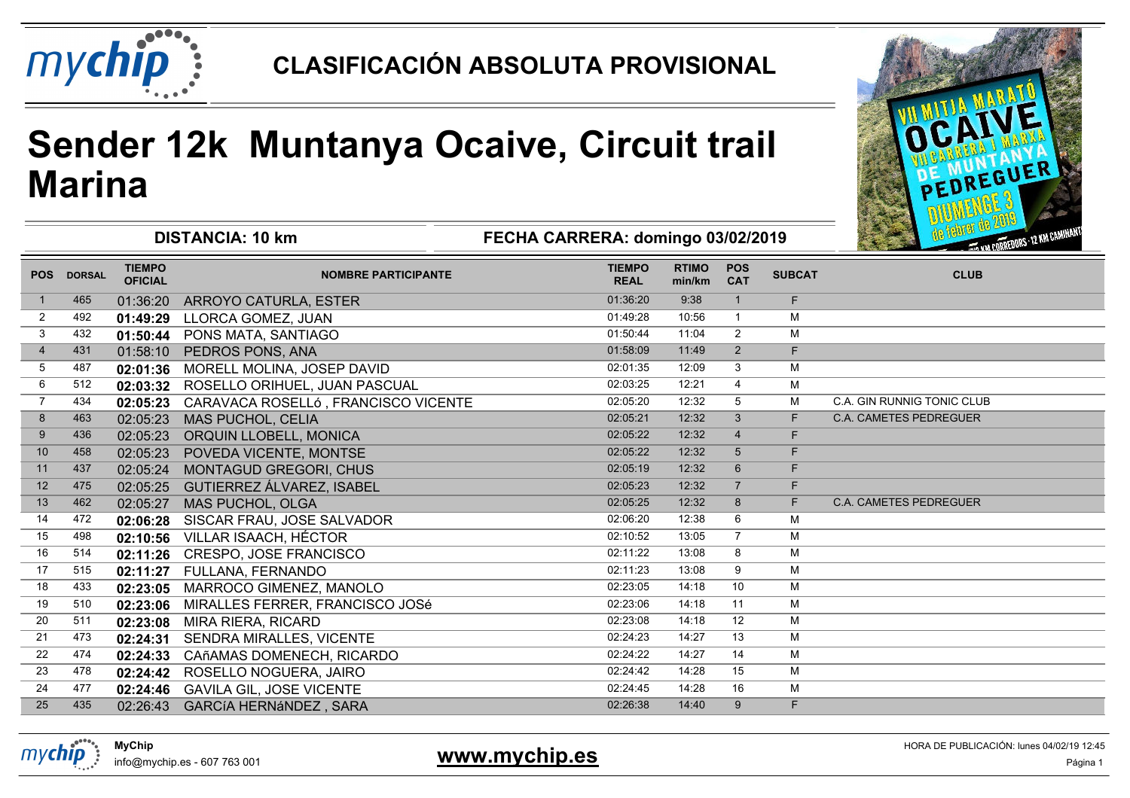

# **Sender 12k Muntanya Ocaive, Circuit trailMarina**



| <b>DISTANCIA: 10 km</b> |               |                                 |                                     | FECHA CARRERA: domingo 03/02/2019 |                        |                          |               | <b>We felled the wave</b><br><b>CONTREDUCES - 12 KM CAMINANTS</b> |
|-------------------------|---------------|---------------------------------|-------------------------------------|-----------------------------------|------------------------|--------------------------|---------------|-------------------------------------------------------------------|
| <b>POS</b>              | <b>DORSAL</b> | <b>TIEMPO</b><br><b>OFICIAL</b> | <b>NOMBRE PARTICIPANTE</b>          | <b>TIEMPO</b><br><b>REAL</b>      | <b>RTIMO</b><br>min/km | <b>POS</b><br><b>CAT</b> | <b>SUBCAT</b> | <b>CLUB</b>                                                       |
|                         | 465           | 01:36:20                        | ARROYO CATURLA, ESTER               | 01:36:20                          | 9:38                   | $\mathbf{1}$             | F.            |                                                                   |
| $\overline{2}$          | 492           | 01:49:29                        | LLORCA GOMEZ, JUAN                  | 01:49:28                          | 10:56                  | $\mathbf{1}$             | M             |                                                                   |
| 3                       | 432           | 01:50:44                        | PONS MATA, SANTIAGO                 | 01:50:44                          | 11:04                  | $\overline{2}$           | M             |                                                                   |
| $\overline{4}$          | 431           | 01:58:10                        | PEDROS PONS, ANA                    | 01:58:09                          | 11:49                  | 2                        | F.            |                                                                   |
| 5                       | 487           | 02:01:36                        | MORELL MOLINA, JOSEP DAVID          | 02:01:35                          | 12:09                  | 3                        | M             |                                                                   |
| 6                       | 512           | 02:03:32                        | ROSELLO ORIHUEL, JUAN PASCUAL       | 02:03:25                          | 12:21                  | 4                        | м             |                                                                   |
| $\overline{7}$          | 434           | 02:05:23                        | CARAVACA ROSELLÓ, FRANCISCO VICENTE | 02:05:20                          | 12:32                  | 5                        | М             | <b>C.A. GIN RUNNIG TONIC CLUB</b>                                 |
| 8                       | 463           | 02:05:23                        | MAS PUCHOL, CELIA                   | 02:05:21                          | 12:32                  | $\mathbf{3}$             | F.            | <b>C.A. CAMETES PEDREGUER</b>                                     |
| 9                       | 436           | 02:05:23                        | ORQUIN LLOBELL, MONICA              | 02:05:22                          | 12:32                  | $\overline{4}$           | F.            |                                                                   |
| 10                      | 458           | 02:05:23                        | POVEDA VICENTE, MONTSE              | 02:05:22                          | 12:32                  | 5                        | F.            |                                                                   |
| 11                      | 437           | 02:05:24                        | MONTAGUD GREGORI, CHUS              | 02:05:19                          | 12:32                  | 6                        | F.            |                                                                   |
| 12                      | 475           | 02:05:25                        | <b>GUTIERREZ ÁLVAREZ, ISABEL</b>    | 02:05:23                          | 12:32                  | $\overline{7}$           | F.            |                                                                   |
| 13                      | 462           | 02:05:27                        | MAS PUCHOL, OLGA                    | 02:05:25                          | 12:32                  | 8                        | F.            | <b>C.A. CAMETES PEDREGUER</b>                                     |
| 14                      | 472           | 02:06:28                        | SISCAR FRAU, JOSE SALVADOR          | 02:06:20                          | 12:38                  | 6                        | M             |                                                                   |
| 15                      | 498           | 02:10:56                        | VILLAR ISAACH, HÉCTOR               | 02:10:52                          | 13:05                  | $\overline{7}$           | M             |                                                                   |
| 16                      | 514           | 02:11:26                        | CRESPO, JOSE FRANCISCO              | 02:11:22                          | 13:08                  | 8                        | M             |                                                                   |
| 17                      | 515           | 02:11:27                        | FULLANA, FERNANDO                   | 02:11:23                          | 13:08                  | 9                        | M             |                                                                   |
| 18                      | 433           | 02:23:05                        | MARROCO GIMENEZ, MANOLO             | 02:23:05                          | 14:18                  | 10                       | M             |                                                                   |
| 19                      | 510           | 02:23:06                        | MIRALLES FERRER, FRANCISCO JOSé     | 02:23:06                          | 14:18                  | 11                       | M             |                                                                   |
| 20                      | 511           | 02:23:08                        | MIRA RIERA, RICARD                  | 02:23:08                          | 14:18                  | 12                       | M             |                                                                   |
| 21                      | 473           | 02:24:31                        | SENDRA MIRALLES, VICENTE            | 02:24:23                          | 14:27                  | 13                       | м             |                                                                   |
| 22                      | 474           | 02:24:33                        | CAñAMAS DOMENECH, RICARDO           | 02:24:22                          | 14:27                  | 14                       | M             |                                                                   |
| 23                      | 478           | 02:24:42                        | ROSELLO NOGUERA, JAIRO              | 02:24:42                          | 14:28                  | 15                       | M             |                                                                   |
| 24                      | 477           | 02:24:46                        | <b>GAVILA GIL, JOSE VICENTE</b>     | 02:24:45                          | 14:28                  | 16                       | М             |                                                                   |
| 25                      | 435           | 02:26:43                        | <b>GARCÍA HERNÁNDEZ, SARA</b>       | 02:26:38                          | 14:40                  | 9                        | F.            |                                                                   |



info@mychip.es - 607 763 001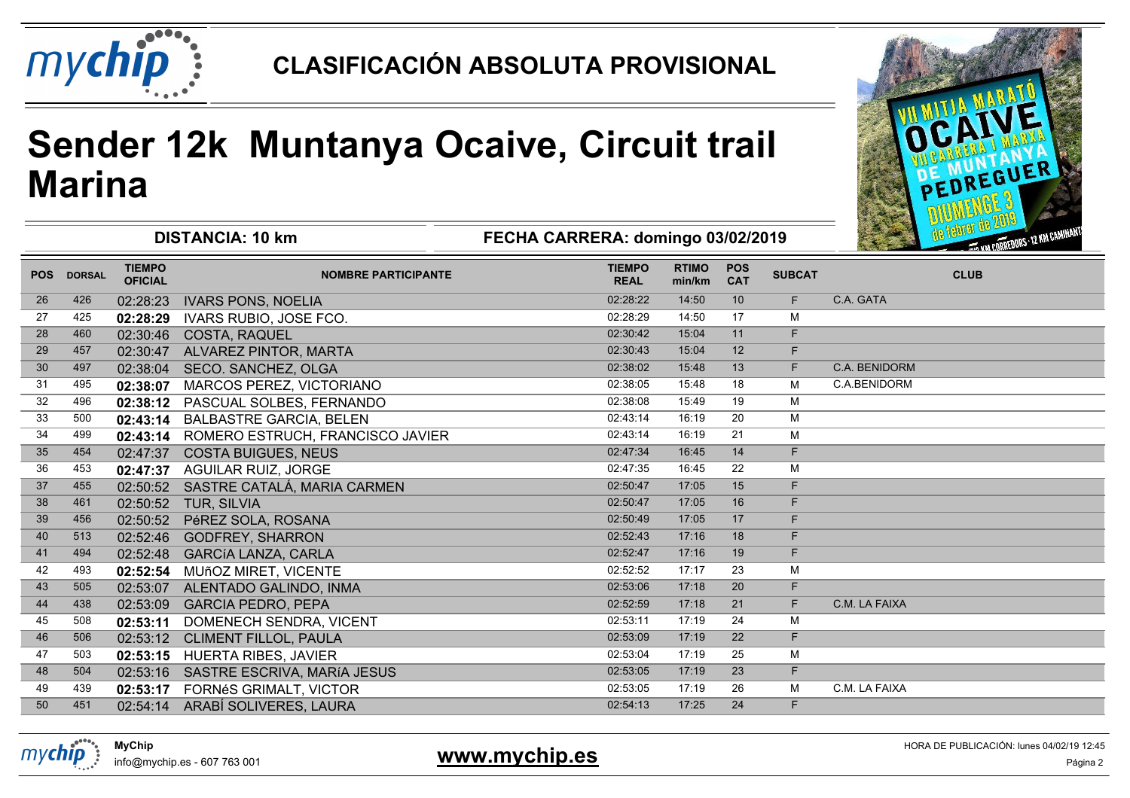

# **Sender 12k Muntanya Ocaive, Circuit trailMarina**



|            |               |                                 | <b>DISTANCIA: 10 km</b>          | FECHA CARRERA: domingo 03/02/2019 |                        | Service Reserve<br><b>CONTROL AND CORREDORS - 12 KM CAMINALS</b> |               |               |
|------------|---------------|---------------------------------|----------------------------------|-----------------------------------|------------------------|------------------------------------------------------------------|---------------|---------------|
| <b>POS</b> | <b>DORSAL</b> | <b>TIEMPO</b><br><b>OFICIAL</b> | <b>NOMBRE PARTICIPANTE</b>       | <b>TIEMPO</b><br><b>REAL</b>      | <b>RTIMO</b><br>min/km | <b>POS</b><br><b>CAT</b>                                         | <b>SUBCAT</b> | <b>CLUB</b>   |
| 26         | 426           | 02:28:23                        | <b>IVARS PONS, NOELIA</b>        | 02:28:22                          | 14:50                  | 10                                                               | F.            | C.A. GATA     |
| 27         | 425           | 02:28:29                        | <b>IVARS RUBIO, JOSE FCO.</b>    | 02:28:29                          | 14:50                  | 17                                                               | M             |               |
| 28         | 460           | 02:30:46                        | <b>COSTA, RAQUEL</b>             | 02:30:42                          | 15:04                  | 11                                                               | F             |               |
| 29         | 457           | 02:30:47                        | ALVAREZ PINTOR, MARTA            | 02:30:43                          | 15:04                  | 12                                                               | F             |               |
| 30         | 497           | 02:38:04                        | SECO. SANCHEZ, OLGA              | 02:38:02                          | 15:48                  | 13                                                               | F             | C.A. BENIDORM |
| 31         | 495           | 02:38:07                        | MARCOS PEREZ, VICTORIANO         | 02:38:05                          | 15:48                  | 18                                                               | M             | C.A.BENIDORM  |
| 32         | 496           | 02:38:12                        | PASCUAL SOLBES, FERNANDO         | 02:38:08                          | 15:49                  | 19                                                               | M             |               |
| 33         | 500           | 02:43:14                        | <b>BALBASTRE GARCIA, BELEN</b>   | 02:43:14                          | 16:19                  | 20                                                               | M             |               |
| 34         | 499           | 02:43:14                        | ROMERO ESTRUCH, FRANCISCO JAVIER | 02:43:14                          | 16:19                  | 21                                                               | M             |               |
| 35         | 454           | 02:47:37                        | <b>COSTA BUIGUES, NEUS</b>       | 02:47:34                          | 16:45                  | 14                                                               | F.            |               |
| 36         | 453           | 02:47:37                        | <b>AGUILAR RUIZ, JORGE</b>       | 02:47:35                          | 16:45                  | 22                                                               | М             |               |
| 37         | 455           | 02:50:52                        | SASTRE CATALÁ, MARIA CARMEN      | 02:50:47                          | 17:05                  | 15                                                               | F             |               |
| 38         | 461           | 02:50:52                        | TUR, SILVIA                      | 02:50:47                          | 17:05                  | 16                                                               | F             |               |
| 39         | 456           | 02:50:52                        | PéREZ SOLA, ROSANA               | 02:50:49                          | 17:05                  | 17                                                               | F             |               |
| 40         | 513           | 02:52:46                        | <b>GODFREY, SHARRON</b>          | 02:52:43                          | 17:16                  | 18                                                               | F             |               |
| 41         | 494           | 02:52:48                        | <b>GARCÍA LANZA, CARLA</b>       | 02:52:47                          | 17:16                  | 19                                                               | F             |               |
| 42         | 493           | 02:52:54                        | MUñOZ MIRET, VICENTE             | 02:52:52                          | 17:17                  | 23                                                               | M             |               |
| 43         | 505           | 02:53:07                        | ALENTADO GALINDO, INMA           | 02:53:06                          | 17:18                  | 20                                                               | F             |               |
| 44         | 438           | 02:53:09                        | <b>GARCIA PEDRO, PEPA</b>        | 02:52:59                          | 17:18                  | 21                                                               | F             | C.M. LA FAIXA |
| 45         | 508           | 02:53:11                        | DOMENECH SENDRA, VICENT          | 02:53:11                          | 17:19                  | 24                                                               | M             |               |
| 46         | 506           | 02:53:12                        | CLIMENT FILLOL, PAULA            | 02:53:09                          | 17:19                  | 22                                                               | F.            |               |
| 47         | 503           | 02:53:15                        | <b>HUERTA RIBES, JAVIER</b>      | 02:53:04                          | 17:19                  | 25                                                               | М             |               |
| 48         | 504           | 02:53:16                        | SASTRE ESCRIVA, MARÍA JESUS      | 02:53:05                          | 17:19                  | 23                                                               | F             |               |
| 49         | 439           | 02:53:17                        | FORNéS GRIMALT, VICTOR           | 02:53:05                          | 17:19                  | 26                                                               | M             | C.M. LA FAIXA |
| 50         | 451           |                                 | 02:54:14 ARABÍ SOLIVERES, LAURA  | 02:54:13                          | 17:25                  | 24                                                               | F             |               |
|            |               |                                 |                                  |                                   |                        |                                                                  |               |               |



**MyChip**info@mychip.es - 607 763 001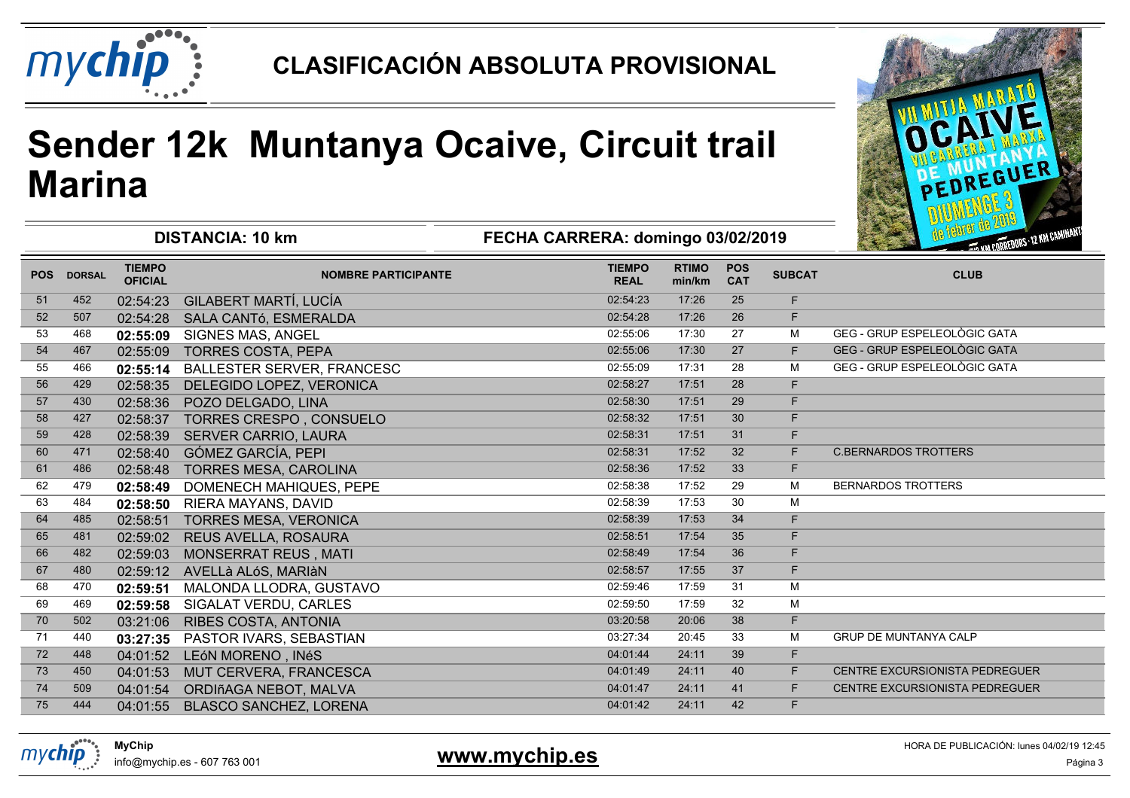

# **Sender 12k Muntanya Ocaive, Circuit trailMarina**



| <b>DISTANCIA: 10 km</b> |               |                                 |                                   | FECHA CARRERA: domingo 03/02/2019 |                        |                          |               | <b>MB Ranton are all</b><br>THE WA CORREDORS - 12 KM CAMINANTS |
|-------------------------|---------------|---------------------------------|-----------------------------------|-----------------------------------|------------------------|--------------------------|---------------|----------------------------------------------------------------|
| <b>POS</b>              | <b>DORSAL</b> | <b>TIEMPO</b><br><b>OFICIAL</b> | <b>NOMBRE PARTICIPANTE</b>        | <b>TIEMPO</b><br><b>REAL</b>      | <b>RTIMO</b><br>min/km | <b>POS</b><br><b>CAT</b> | <b>SUBCAT</b> | <b>CLUB</b>                                                    |
| 51                      | 452           | 02:54:23                        | GILABERT MARTÍ, LUCÍA             | 02:54:23                          | 17:26                  | 25                       | F.            |                                                                |
| 52                      | 507           | 02:54:28                        | SALA CANTÓ, ESMERALDA             | 02:54:28                          | 17:26                  | 26                       | F             |                                                                |
| 53                      | 468           | 02:55:09                        | SIGNES MAS, ANGEL                 | 02:55:06                          | 17:30                  | 27                       | M             | GEG - GRUP ESPELEOLÒGIC GATA                                   |
| 54                      | 467           | 02:55:09                        | <b>TORRES COSTA, PEPA</b>         | 02:55:06                          | 17:30                  | 27                       | F.            | GEG - GRUP ESPELEOLÒGIC GATA                                   |
| 55                      | 466           | 02:55:14                        | <b>BALLESTER SERVER, FRANCESC</b> | 02:55:09                          | 17:31                  | 28                       | M             | GEG - GRUP ESPELEOLÒGIC GATA                                   |
| 56                      | 429           | 02:58:35                        | DELEGIDO LOPEZ, VERONICA          | 02:58:27                          | 17:51                  | 28                       | F             |                                                                |
| 57                      | 430           | 02:58:36                        | POZO DELGADO, LINA                | 02:58:30                          | 17:51                  | 29                       | F             |                                                                |
| 58                      | 427           | 02:58:37                        | TORRES CRESPO, CONSUELO           | 02:58:32                          | 17:51                  | 30                       | F             |                                                                |
| 59                      | 428           | 02:58:39                        | SERVER CARRIO, LAURA              | 02:58:31                          | 17:51                  | 31                       | F             |                                                                |
| 60                      | 471           | 02:58:40                        | GÓMEZ GARCÍA, PEPI                | 02:58:31                          | 17:52                  | 32                       | F.            | <b>C.BERNARDOS TROTTERS</b>                                    |
| 61                      | 486           | 02:58:48                        | <b>TORRES MESA, CAROLINA</b>      | 02:58:36                          | 17:52                  | 33                       | F             |                                                                |
| 62                      | 479           | 02:58:49                        | DOMENECH MAHIQUES, PEPE           | 02:58:38                          | 17:52                  | 29                       | M             | <b>BERNARDOS TROTTERS</b>                                      |
| 63                      | 484           | 02:58:50                        | RIERA MAYANS, DAVID               | 02:58:39                          | 17:53                  | 30                       | M             |                                                                |
| 64                      | 485           | 02:58:51                        | <b>TORRES MESA, VERONICA</b>      | 02:58:39                          | 17:53                  | 34                       | F.            |                                                                |
| 65                      | 481           | 02:59:02                        | REUS AVELLA, ROSAURA              | 02:58:51                          | 17:54                  | 35                       | F.            |                                                                |
| 66                      | 482           | 02:59:03                        | MONSERRAT REUS, MATI              | 02:58:49                          | 17:54                  | 36                       | F             |                                                                |
| 67                      | 480           | 02:59:12                        | AVELLà ALóS, MARIÀN               | 02:58:57                          | 17:55                  | 37                       | F             |                                                                |
| 68                      | 470           | 02:59:51                        | MALONDA LLODRA, GUSTAVO           | 02:59:46                          | 17:59                  | 31                       | M             |                                                                |
| 69                      | 469           | 02:59:58                        | SIGALAT VERDU, CARLES             | 02:59:50                          | 17:59                  | 32                       | М             |                                                                |
| 70                      | 502           | 03:21:06                        | RIBES COSTA, ANTONIA              | 03:20:58                          | 20:06                  | 38                       | F             |                                                                |
| 71                      | 440           | 03:27:35                        | PASTOR IVARS, SEBASTIAN           | 03:27:34                          | 20:45                  | 33                       | M             | <b>GRUP DE MUNTANYA CALP</b>                                   |
| 72                      | 448           | 04:01:52                        | LEÓN MORENO, INÉS                 | 04:01:44                          | 24:11                  | 39                       | F.            |                                                                |
| 73                      | 450           | 04:01:53                        | MUT CERVERA, FRANCESCA            | 04:01:49                          | 24:11                  | 40                       | F.            | <b>CENTRE EXCURSIONISTA PEDREGUER</b>                          |
| 74                      | 509           | 04:01:54                        | ORDIñAGA NEBOT, MALVA             | 04:01:47                          | 24:11                  | 41                       | F.            | CENTRE EXCURSIONISTA PEDREGUER                                 |
| 75                      | 444           | 04:01:55                        | <b>BLASCO SANCHEZ, LORENA</b>     | 04:01:42                          | 24:11                  | 42                       | F             |                                                                |
|                         |               |                                 |                                   |                                   |                        |                          |               |                                                                |



info@mychip.es - 607 763 001

#### 1 **WWW.ITT<mark>y UTTP:00</mark>**

HORA DE PUBLICACIÓN: lunes 04/02/19 12:45**www.mychip.es**